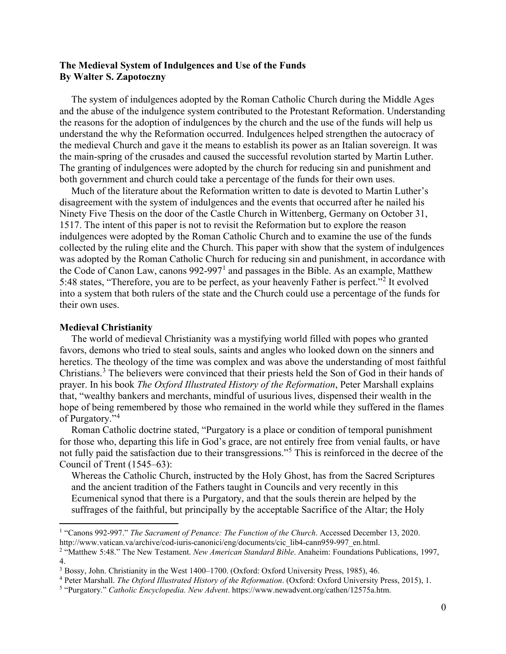# **The Medieval System of Indulgences and Use of the Funds By Walter S. Zapotoczny**

The system of indulgences adopted by the Roman Catholic Church during the Middle Ages and the abuse of the indulgence system contributed to the Protestant Reformation. Understanding the reasons for the adoption of indulgences by the church and the use of the funds will help us understand the why the Reformation occurred. Indulgences helped strengthen the autocracy of the medieval Church and gave it the means to establish its power as an Italian sovereign. It was the main-spring of the crusades and caused the successful revolution started by Martin Luther. The granting of indulgences were adopted by the church for reducing sin and punishment and both government and church could take a percentage of the funds for their own uses.

Much of the literature about the Reformation written to date is devoted to Martin Luther's disagreement with the system of indulgences and the events that occurred after he nailed his Ninety Five Thesis on the door of the Castle Church in Wittenberg, Germany on October 31, 1517. The intent of this paper is not to revisit the Reformation but to explore the reason indulgences were adopted by the Roman Catholic Church and to examine the use of the funds collected by the ruling elite and the Church. This paper with show that the system of indulgences was adopted by the Roman Catholic Church for reducing sin and punishment, in accordance with the Code of Canon Law, canons 992-997[1](#page-0-0) and passages in the Bible. As an example, Matthew 5:48 states, "Therefore, you are to be perfect, as your heavenly Father is perfect."[2](#page-0-1) It evolved into a system that both rulers of the state and the Church could use a percentage of the funds for their own uses.

## **Medieval Christianity**

The world of medieval Christianity was a mystifying world filled with popes who granted favors, demons who tried to steal souls, saints and angles who looked down on the sinners and heretics. The theology of the time was complex and was above the understanding of most faithful Christians. [3](#page-0-2) The believers were convinced that their priests held the Son of God in their hands of prayer. In his book *The Oxford Illustrated History of the Reformation*, Peter Marshall explains that, "wealthy bankers and merchants, mindful of usurious lives, dispensed their wealth in the hope of being remembered by those who remained in the world while they suffered in the flames of Purgatory."[4](#page-0-3)

Roman Catholic doctrine stated, "Purgatory is a place or condition of temporal punishment for those who, departing this life in God's grace, are not entirely free from venial faults, or have not fully paid the satisfaction due to their transgressions."[5](#page-0-4) This is reinforced in the decree of the Council of Trent (1545–63):

Whereas the Catholic Church, instructed by the Holy Ghost, has from the Sacred Scriptures and the ancient tradition of the Fathers taught in Councils and very recently in this Ecumenical synod that there is a Purgatory, and that the souls therein are helped by the suffrages of the faithful, but principally by the acceptable Sacrifice of the Altar; the Holy

<span id="page-0-0"></span><sup>1</sup> "Canons 992-997." *The Sacrament of Penance: The Function of the Church*. Accessed December 13, 2020. http://www.vatican.va/archive/cod-iuris-canonici/eng/documents/cic\_lib4-cann959-997\_en.html.

<span id="page-0-1"></span><sup>2</sup> "Matthew 5:48." The New Testament. *New American Standard Bible*. Anaheim: Foundations Publications, 1997, 4.

<span id="page-0-2"></span><sup>3</sup> Bossy, John. Christianity in the West 1400–1700. (Oxford: Oxford University Press, 1985), 46.

<span id="page-0-3"></span><sup>4</sup> Peter Marshall. *The Oxford Illustrated History of the Reformation*. (Oxford: Oxford University Press, 2015), 1.

<span id="page-0-4"></span><sup>5</sup> "Purgatory." *Catholic Encyclopedia. New Advent*. https://www.newadvent.org/cathen/12575a.htm.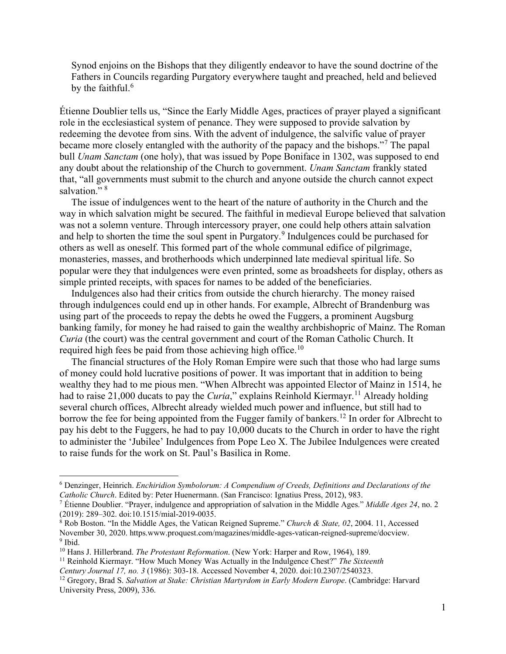Synod enjoins on the Bishops that they diligently endeavor to have the sound doctrine of the Fathers in Councils regarding Purgatory everywhere taught and preached, held and believed by the faithful.<sup>[6](#page-1-0)</sup>

Étienne Doublier tells us, "Since the Early Middle Ages, practices of prayer played a significant role in the ecclesiastical system of penance. They were supposed to provide salvation by redeeming the devotee from sins. With the advent of indulgence, the salvific value of prayer became more closely entangled with the authority of the papacy and the bishops."[7](#page-1-1) The papal bull *Unam Sanctam* (one holy), that was issued by Pope Boniface in 1302, was supposed to end any doubt about the relationship of the Church to government. *Unam Sanctam* frankly stated that, "all governments must submit to the church and anyone outside the church cannot expect salvation." $8$ 

The issue of indulgences went to the heart of the nature of authority in the Church and the way in which salvation might be secured. The faithful in medieval Europe believed that salvation was not a solemn venture. Through intercessory prayer, one could help others attain salvation and help to shorten the time the soul spent in Purgatory.<sup>[9](#page-1-3)</sup> Indulgences could be purchased for others as well as oneself. This formed part of the whole communal edifice of pilgrimage, monasteries, masses, and brotherhoods which underpinned late medieval spiritual life. So popular were they that indulgences were even printed, some as broadsheets for display, others as simple printed receipts, with spaces for names to be added of the beneficiaries.

Indulgences also had their critics from outside the church hierarchy. The money raised through indulgences could end up in other hands. For example, Albrecht of Brandenburg was using part of the proceeds to repay the debts he owed the Fuggers, a prominent Augsburg banking family, for money he had raised to gain the wealthy archbishopric of Mainz. The Roman *Curia* (the court) was the central government and court of the Roman Catholic Church. It required high fees be paid from those achieving high office.<sup>[10](#page-1-4)</sup>

The financial structures of the Holy Roman Empire were such that those who had large sums of money could hold lucrative positions of power. It was important that in addition to being wealthy they had to me pious men. "When Albrecht was appointed Elector of Mainz in 1514, he had to raise 21,000 ducats to pay the *Curia*," explains Reinhold Kiermayr. [11](#page-1-5) Already holding several church offices, Albrecht already wielded much power and influence, but still had to borrow the fee for being appointed from the Fugger family of bankers.<sup>[12](#page-1-6)</sup> In order for Albrecht to pay his debt to the Fuggers, he had to pay 10,000 ducats to the Church in order to have the right to administer the 'Jubilee' Indulgences from Pope Leo X. The Jubilee Indulgences were created to raise funds for the work on St. Paul's Basilica in Rome.

<span id="page-1-0"></span><sup>6</sup> Denzinger, Heinrich. *Enchiridion Symbolorum: A Compendium of Creeds, Definitions and Declarations of the Catholic Church*. Edited by: Peter Huenermann. (San Francisco: Ignatius Press, 2012), 983.

<span id="page-1-1"></span><sup>7</sup> Étienne Doublier. "Prayer, indulgence and appropriation of salvation in the Middle Ages." *Middle Ages 24*, no. 2 (2019): 289–302. doi:10.1515/mial-2019-0035.

<span id="page-1-2"></span><sup>8</sup> Rob Boston. "In the Middle Ages, the Vatican Reigned Supreme." *Church & State, 02*, 2004. 11, Accessed November 30, 2020. https.www.proquest.com/magazines/middle-ages-vatican-reigned-supreme/docview. 9 Ibid.

<span id="page-1-4"></span><span id="page-1-3"></span><sup>10</sup> Hans J. Hillerbrand. *The Protestant Reformation*. (New York: Harper and Row, 1964), 189.

<span id="page-1-5"></span><sup>11</sup> Reinhold Kiermayr. "How Much Money Was Actually in the Indulgence Chest?" *The Sixteenth* 

*Century Journal 17, no. 3* (1986): 303-18. Accessed November 4, 2020. doi:10.2307/2540323.

<span id="page-1-6"></span><sup>&</sup>lt;sup>12</sup> Gregory, Brad S. *Salvation at Stake: Christian Martyrdom in Early Modern Europe*. (Cambridge: Harvard University Press, 2009), 336.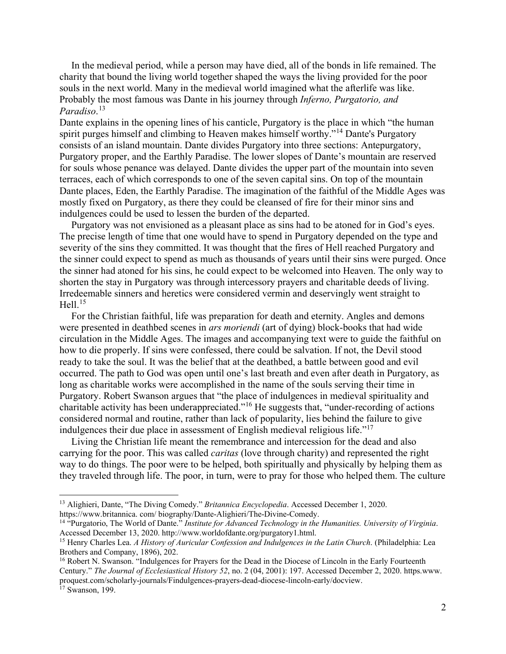In the medieval period, while a person may have died, all of the bonds in life remained. The charity that bound the living world together shaped the ways the living provided for the poor souls in the next world. Many in the medieval world imagined what the afterlife was like. Probably the most famous was Dante in his journey through *Inferno, Purgatorio, and Paradiso*. [13](#page-2-0)

Dante explains in the opening lines of his canticle, Purgatory is the place in which "the human spirit purges himself and climbing to Heaven makes himself worthy."[14](#page-2-1) Dante's Purgatory consists of an island mountain. Dante divides Purgatory into three sections: Antepurgatory, Purgatory proper, and the Earthly Paradise. The lower slopes of Dante's mountain are reserved for souls whose penance was delayed. Dante divides the upper part of the mountain into seven terraces, each of which corresponds to one of the seven capital sins. On top of the mountain Dante places, Eden, the Earthly Paradise. The imagination of the faithful of the Middle Ages was mostly fixed on Purgatory, as there they could be cleansed of fire for their minor sins and indulgences could be used to lessen the burden of the departed.

Purgatory was not envisioned as a pleasant place as sins had to be atoned for in God's eyes. The precise length of time that one would have to spend in Purgatory depended on the type and severity of the sins they committed. It was thought that the fires of Hell reached Purgatory and the sinner could expect to spend as much as thousands of years until their sins were purged. Once the sinner had atoned for his sins, he could expect to be welcomed into Heaven. The only way to shorten the stay in Purgatory was through intercessory prayers and charitable deeds of living. Irredeemable sinners and heretics were considered vermin and deservingly went straight to Hell. $^{15}$  $^{15}$  $^{15}$ 

For the Christian faithful, life was preparation for death and eternity. Angles and demons were presented in deathbed scenes in *ars moriendi* (art of dying) block-books that had wide circulation in the Middle Ages. The images and accompanying text were to guide the faithful on how to die properly. If sins were confessed, there could be salvation. If not, the Devil stood ready to take the soul. It was the belief that at the deathbed, a battle between good and evil occurred. The path to God was open until one's last breath and even after death in Purgatory, as long as charitable works were accomplished in the name of the souls serving their time in Purgatory. Robert Swanson argues that "the place of indulgences in medieval spirituality and charitable activity has been underappreciated."<sup>[16](#page-2-3)</sup> He suggests that, "under-recording of actions" considered normal and routine, rather than lack of popularity, lies behind the failure to give indulgences their due place in assessment of English medieval religious life."[17](#page-2-4)

Living the Christian life meant the remembrance and intercession for the dead and also carrying for the poor. This was called *caritas* (love through charity) and represented the right way to do things. The poor were to be helped, both spiritually and physically by helping them as they traveled through life. The poor, in turn, were to pray for those who helped them. The culture

<span id="page-2-0"></span><sup>&</sup>lt;sup>13</sup> Alighieri, Dante, "The Diving Comedy." *Britannica Encyclopedia*. Accessed December 1, 2020.<br>https://www.britannica.com/biography/Dante-Alighieri/The-Divine-Comedy.

<span id="page-2-1"></span><sup>&</sup>lt;sup>14 "</sup>Purgatorio, The World of Dante." *Institute for Advanced Technology in the Humanities. University of Virginia.*<br>Accessed December 13, 2020. http://www.worldofdante.org/purgatory1.html.

<span id="page-2-2"></span><sup>&</sup>lt;sup>15</sup> Henry Charles Lea. *A History of Auricular Confession and Indulgences in the Latin Church*. (Philadelphia: Lea Brothers and Company, 1896), 202.

<span id="page-2-3"></span><sup>&</sup>lt;sup>16</sup> Robert N. Swanson. "Indulgences for Prayers for the Dead in the Diocese of Lincoln in the Early Fourteenth Century." *The Journal of Ecclesiastical History 52*, no. 2 (04, 2001): 197. Accessed December 2, 2020. https.www. proquest.com/scholarly-journals/Findulgences-prayers-dead-diocese-lincoln-early/docview.

<span id="page-2-4"></span><sup>17</sup> Swanson, 199.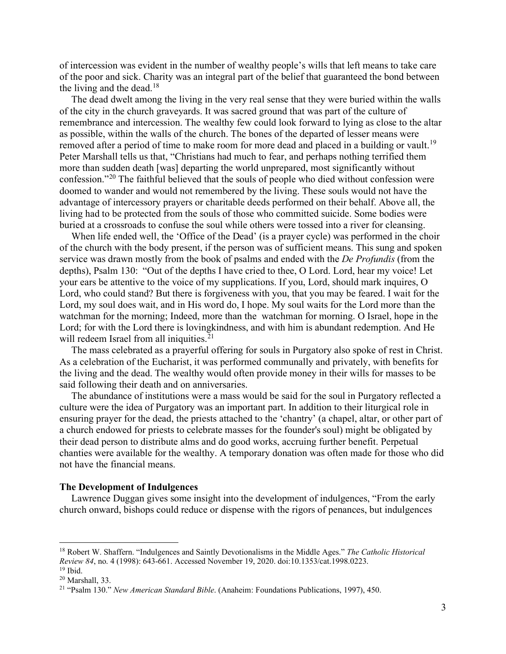of intercession was evident in the number of wealthy people's wills that left means to take care of the poor and sick. Charity was an integral part of the belief that guaranteed the bond between the living and the dead.<sup>[18](#page-3-0)</sup>

The dead dwelt among the living in the very real sense that they were buried within the walls of the city in the church graveyards. It was sacred ground that was part of the culture of remembrance and intercession. The wealthy few could look forward to lying as close to the altar as possible, within the walls of the church. The bones of the departed of lesser means were removed after a period of time to make room for more dead and placed in a building or vault.<sup>[19](#page-3-1)</sup> Peter Marshall tells us that, "Christians had much to fear, and perhaps nothing terrified them more than sudden death [was] departing the world unprepared, most significantly without confession."[20](#page-3-2) The faithful believed that the souls of people who died without confession were doomed to wander and would not remembered by the living. These souls would not have the advantage of intercessory prayers or charitable deeds performed on their behalf. Above all, the living had to be protected from the souls of those who committed suicide. Some bodies were buried at a crossroads to confuse the soul while others were tossed into a river for cleansing.

When life ended well, the 'Office of the Dead' (is a prayer cycle) was performed in the choir of the church with the body present, if the person was of sufficient means. This sung and spoken service was drawn mostly from the book of psalms and ended with the *De Profundis* (from the depths), Psalm 130: "Out of the depths I have cried to thee, O Lord. Lord, hear my voice! Let your ears be attentive to the voice of my supplications. If you, Lord, should mark inquires, O Lord, who could stand? But there is forgiveness with you, that you may be feared. I wait for the Lord, my soul does wait, and in His word do, I hope. My soul waits for the Lord more than the watchman for the morning; Indeed, more than the watchman for morning. O Israel, hope in the Lord; for with the Lord there is lovingkindness, and with him is abundant redemption. And He will redeem Israel from all iniquities.<sup>[21](#page-3-3)</sup>

The mass celebrated as a prayerful offering for souls in Purgatory also spoke of rest in Christ. As a celebration of the Eucharist, it was performed communally and privately, with benefits for the living and the dead. The wealthy would often provide money in their wills for masses to be said following their death and on anniversaries.

The abundance of institutions were a mass would be said for the soul in Purgatory reflected a culture were the idea of Purgatory was an important part. In addition to their liturgical role in ensuring prayer for the dead, the priests attached to the 'chantry' (a chapel, altar, or other part of a church endowed for priests to celebrate masses for the founder's soul) might be obligated by their dead person to distribute alms and do good works, accruing further benefit. Perpetual chanties were available for the wealthy. A temporary donation was often made for those who did not have the financial means.

### **The Development of Indulgences**

Lawrence Duggan gives some insight into the development of indulgences, "From the early church onward, bishops could reduce or dispense with the rigors of penances, but indulgences

<span id="page-3-0"></span><sup>18</sup> Robert W. Shaffern. "Indulgences and Saintly Devotionalisms in the Middle Ages." *The Catholic Historical Review 84*, no. 4 (1998): 643-661. Accessed November 19, 2020. doi:10.1353/cat.1998.0223.  $19$  Ibid.

<span id="page-3-2"></span><span id="page-3-1"></span><sup>20</sup> Marshall, 33.

<span id="page-3-3"></span><sup>21</sup> "Psalm 130." *New American Standard Bible*. (Anaheim: Foundations Publications, 1997), 450.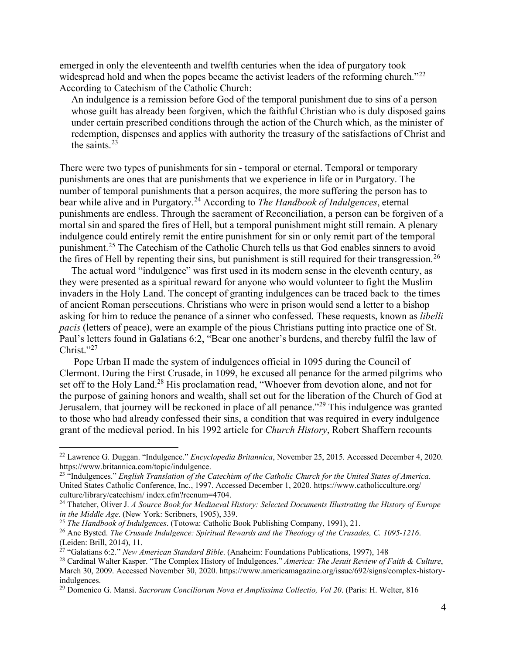emerged in only the eleventeenth and twelfth centuries when the idea of purgatory took widespread hold and when the popes became the activist leaders of the reforming church."<sup>[22](#page-4-0)</sup> According to Catechism of the Catholic Church:

An indulgence is a remission before God of the temporal punishment due to sins of a person whose guilt has already been forgiven, which the faithful Christian who is duly disposed gains under certain prescribed conditions through the action of the Church which, as the minister of redemption, dispenses and applies with authority the treasury of the satisfactions of Christ and the saints. $^{23}$  $^{23}$  $^{23}$ 

There were two types of punishments for sin - temporal or eternal. Temporal or temporary punishments are ones that are punishments that we experience in life or in Purgatory. The number of temporal punishments that a person acquires, the more suffering the person has to bear while alive and in Purgatory.[24](#page-4-2) According to *The Handbook of Indulgences*, eternal punishments are endless. Through the sacrament of Reconciliation, a person can be forgiven of a mortal sin and spared the fires of Hell, but a temporal punishment might still remain. A plenary indulgence could entirely remit the entire punishment for sin or only remit part of the temporal punishment.<sup>[25](#page-4-3)</sup> The Catechism of the Catholic Church tells us that God enables sinners to avoid the fires of Hell by repenting their sins, but punishment is still required for their transgression.<sup>[26](#page-4-4)</sup>

The actual word "indulgence" was first used in its modern sense in the eleventh century, as they were presented as a spiritual reward for anyone who would volunteer to fight the Muslim invaders in the Holy Land. The concept of granting indulgences can be traced back to the times of ancient Roman persecutions. Christians who were in prison would send a letter to a bishop asking for him to reduce the penance of a sinner who confessed. These requests, known as *libelli pacis* (letters of peace), were an example of the pious Christians putting into practice one of St. Paul's letters found in Galatians 6:2, "Bear one another's burdens, and thereby fulfil the law of Christ."[27](#page-4-5)

Pope Urban II made the system of indulgences official in 1095 during the Council of Clermont. During the First Crusade, in 1099, he excused all penance for the armed pilgrims who set off to the Holy Land.<sup>[28](#page-4-6)</sup> His proclamation read, "Whoever from devotion alone, and not for the purpose of gaining honors and wealth, shall set out for the liberation of the Church of God at Jerusalem, that journey will be reckoned in place of all penance."[29](#page-4-7) This indulgence was granted to those who had already confessed their sins, a condition that was required in every indulgence grant of the medieval period. In his 1992 article for *Church History*, Robert Shaffern recounts

<span id="page-4-0"></span><sup>22</sup> Lawrence G. Duggan. "Indulgence." *Encyclopedia Britannica*, November 25, 2015. Accessed December 4, 2020. https://www.britannica.com/topic/indulgence.

<span id="page-4-1"></span><sup>23</sup> "Indulgences." *English Translation of the Catechism of the Catholic Church for the United States of America*. United States Catholic Conference, Inc., 1997. Accessed December 1, 2020. https://www.catholicculture.org/ culture/library/catechism/ index.cfm?recnum=4704.

<span id="page-4-2"></span><sup>24</sup> Thatcher, Oliver J. *A Source Book for Mediaeval History: Selected Documents Illustrating the History of Europe in the Middle Age*. (New York: Scribners, 1905), 339.

<span id="page-4-3"></span><sup>25</sup> *The Handbook of Indulgences*. (Totowa: Catholic Book Publishing Company, 1991), 21.

<span id="page-4-4"></span><sup>26</sup> Ane Bysted. *The Crusade Indulgence: Spiritual Rewards and the Theology of the Crusades, C. 1095-1216*. (Leiden: Brill, 2014), 11.

<span id="page-4-5"></span><sup>27</sup> "Galatians 6:2." *New American Standard Bible*. (Anaheim: Foundations Publications, 1997), 148

<span id="page-4-6"></span><sup>28</sup> Cardinal Walter Kasper. "The Complex History of Indulgences." *America: The Jesuit Review of Faith & Culture*, March 30, 2009. Accessed November 30, 2020. https://www.americamagazine.org/issue/692/signs/complex-historyindulgences. 29 Domenico G. Mansi. *Sacrorum Conciliorum Nova et Amplissima Collectio, Vol 20*. (Paris: H. Welter, 816

<span id="page-4-7"></span>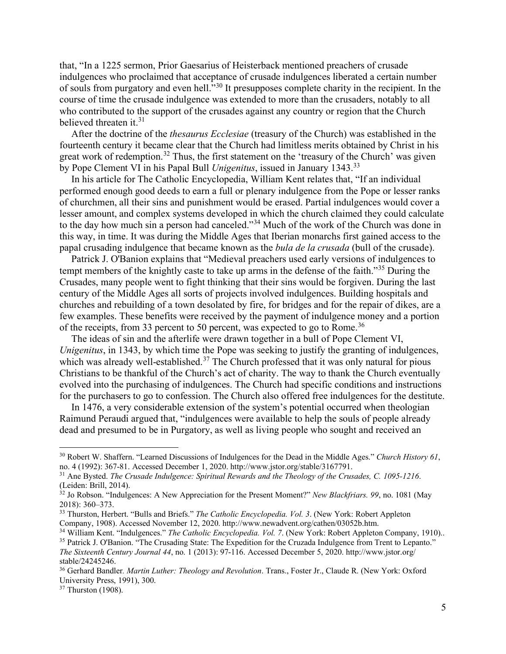that, "In a 1225 sermon, Prior Gaesarius of Heisterback mentioned preachers of crusade indulgences who proclaimed that acceptance of crusade indulgences liberated a certain number of souls from purgatory and even hell."[30](#page-5-0) It presupposes complete charity in the recipient. In the course of time the crusade indulgence was extended to more than the crusaders, notably to all who contributed to the support of the crusades against any country or region that the Church believed threaten it.<sup>[31](#page-5-1)</sup>

After the doctrine of the *thesaurus Ecclesiae* (treasury of the Church) was established in the fourteenth century it became clear that the Church had limitless merits obtained by Christ in his great work of redemption.<sup>[32](#page-5-2)</sup> Thus, the first statement on the 'treasury of the Church' was given by Pope Clement VI in his Papal Bull *Unigenitus*, issued in January 1343.[33](#page-5-3)

In his article for The Catholic Encyclopedia, William Kent relates that, "If an individual performed enough good deeds to earn a full or plenary indulgence from the Pope or lesser ranks of churchmen, all their sins and punishment would be erased. Partial indulgences would cover a lesser amount, and complex systems developed in which the church claimed they could calculate to the day how much sin a person had canceled."[34](#page-5-4) Much of the work of the Church was done in this way, in time. It was during the Middle Ages that Iberian monarchs first gained access to the papal crusading indulgence that became known as the *bula de la crusada* (bull of the crusade).

Patrick J. O'Banion explains that "Medieval preachers used early versions of indulgences to tempt members of the knightly caste to take up arms in the defense of the faith."<sup>[35](#page-5-5)</sup> During the Crusades, many people went to fight thinking that their sins would be forgiven. During the last century of the Middle Ages all sorts of projects involved indulgences. Building hospitals and churches and rebuilding of a town desolated by fire, for bridges and for the repair of dikes, are a few examples. These benefits were received by the payment of indulgence money and a portion of the receipts, from 33 percent to 50 percent, was expected to go to Rome.<sup>[36](#page-5-6)</sup>

The ideas of sin and the afterlife were drawn together in a bull of Pope Clement VI, *Unigenitus*, in 1343, by which time the Pope was seeking to justify the granting of indulgences, which was already well-established.<sup>[37](#page-5-7)</sup> The Church professed that it was only natural for pious Christians to be thankful of the Church's act of charity. The way to thank the Church eventually evolved into the purchasing of indulgences. The Church had specific conditions and instructions for the purchasers to go to confession. The Church also offered free indulgences for the destitute.

In 1476, a very considerable extension of the system's potential occurred when theologian Raimund Peraudi argued that, "indulgences were available to help the souls of people already dead and presumed to be in Purgatory, as well as living people who sought and received an

<span id="page-5-0"></span><sup>&</sup>lt;sup>30</sup> Robert W. Shaffern. "Learned Discussions of Indulgences for the Dead in the Middle Ages." *Church History 61*, no. 4 (1992): 367-81. Accessed December 1, 2020. http://www.jstor.org/stable/3167791.

<span id="page-5-1"></span><sup>&</sup>lt;sup>31</sup> Ane Bysted. *The Crusade Indulgence: Spiritual Rewards and the Theology of the Crusades, C. 1095-1216.* (Leiden: Brill, 2014).

<span id="page-5-2"></span><sup>&</sup>lt;sup>32</sup> Jo Robson. "Indulgences: A New Appreciation for the Present Moment?" *New Blackfriars. 99*, no. 1081 (May 2018): 360–373.

<span id="page-5-3"></span><sup>33</sup> Thurston, Herbert. "Bulls and Briefs." *The Catholic Encyclopedia. Vol. 3*. (New York: Robert Appleton Company, 1908). Accessed November 12, 2020. http://www.newadvent.org/cathen/03052b.htm.

<span id="page-5-5"></span><span id="page-5-4"></span><sup>&</sup>lt;sup>34</sup> William Kent. "Indulgences." *The Catholic Encyclopedia. Vol. 7.* (New York: Robert Appleton Company, 1910).. <sup>35</sup> Patrick J. O'Banion. "The Crusading State: The Expedition for the Cruzada Indulgence from Trent to Lepanto."

*The Sixteenth Century Journal 44*, no. 1 (2013): 97-116. Accessed December 5, 2020. http://www.jstor.org/ stable/24245246.

<span id="page-5-6"></span><sup>36</sup> Gerhard Bandler*. Martin Luther: Theology and Revolution*. Trans., Foster Jr., Claude R. (New York: Oxford University Press, 1991), 300.

<span id="page-5-7"></span><sup>&</sup>lt;sup>37</sup> Thurston (1908).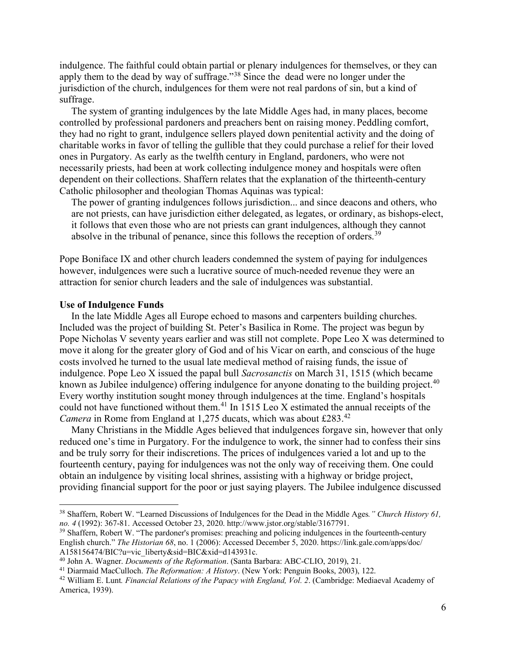indulgence. The faithful could obtain partial or plenary indulgences for themselves, or they can apply them to the dead by way of suffrage."[38](#page-6-0) Since the dead were no longer under the jurisdiction of the church, indulgences for them were not real pardons of sin, but a kind of suffrage.

The system of granting indulgences by the late Middle Ages had, in many places, become controlled by professional pardoners and preachers bent on raising money. Peddling comfort, they had no right to grant, indulgence sellers played down penitential activity and the doing of charitable works in favor of telling the gullible that they could purchase a relief for their loved ones in Purgatory. As early as the twelfth century in England, pardoners, who were not necessarily priests, had been at work collecting indulgence money and hospitals were often dependent on their collections. Shaffern relates that the explanation of the thirteenth-century Catholic philosopher and theologian Thomas Aquinas was typical:

The power of granting indulgences follows jurisdiction... and since deacons and others, who are not priests, can have jurisdiction either delegated, as legates, or ordinary, as bishops-elect, it follows that even those who are not priests can grant indulgences, although they cannot absolve in the tribunal of penance, since this follows the reception of orders.<sup>[39](#page-6-1)</sup>

Pope Boniface IX and other church leaders condemned the system of paying for indulgences however, indulgences were such a lucrative source of much-needed revenue they were an attraction for senior church leaders and the sale of indulgences was substantial.

#### **Use of Indulgence Funds**

In the late Middle Ages all Europe echoed to masons and carpenters building churches. Included was the project of building St. Peter's Basilica in Rome. The project was begun by Pope Nicholas V seventy years earlier and was still not complete. Pope Leo X was determined to move it along for the greater glory of God and of his Vicar on earth, and conscious of the huge costs involved he turned to the usual late medieval method of raising funds, the issue of indulgence. Pope Leo X issued the papal bull *Sacrosanctis* on March 31, 1515 (which became known as Jubilee indulgence) offering indulgence for anyone donating to the building project.<sup>[40](#page-6-2)</sup> Every worthy institution sought money through indulgences at the time. England's hospitals could not have functioned without them.<sup>[41](#page-6-3)</sup> In 1515 Leo X estimated the annual receipts of the *Camera* in Rome from England at 1,275 ducats, which was about £283.<sup>[42](#page-6-4)</sup>

Many Christians in the Middle Ages believed that indulgences forgave sin, however that only reduced one's time in Purgatory. For the indulgence to work, the sinner had to confess their sins and be truly sorry for their indiscretions. The prices of indulgences varied a lot and up to the fourteenth century, paying for indulgences was not the only way of receiving them. One could obtain an indulgence by visiting local shrines, assisting with a highway or bridge project, providing financial support for the poor or just saying players. The Jubilee indulgence discussed

<span id="page-6-0"></span><sup>38</sup> Shaffern, Robert W. "Learned Discussions of Indulgences for the Dead in the Middle Ages*." Church History 61, no. 4* (1992): 367-81. Accessed October 23, 2020. http://www.jstor.org/stable/3167791.

<span id="page-6-1"></span><sup>&</sup>lt;sup>39</sup> Shaffern, Robert W. "The pardoner's promises: preaching and policing indulgences in the fourteenth-century English church." *The Historian 68*, no. 1 (2006): Accessed December 5, 2020. https://link.gale.com/apps/doc/ A158156474/BIC?u=vic\_liberty&sid=BIC&xid=d143931c.

<span id="page-6-2"></span><sup>40</sup> John A. Wagner. *Documents of the Reformation*. (Santa Barbara: ABC-CLIO, 2019), 21.

<span id="page-6-3"></span><sup>41</sup> Diarmaid MacCulloch. *The Reformation: A History*. (New York: Penguin Books, 2003), 122.

<span id="page-6-4"></span><sup>42</sup> William E. Lunt*. Financial Relations of the Papacy with England, Vol. 2*. (Cambridge: Mediaeval Academy of America, 1939).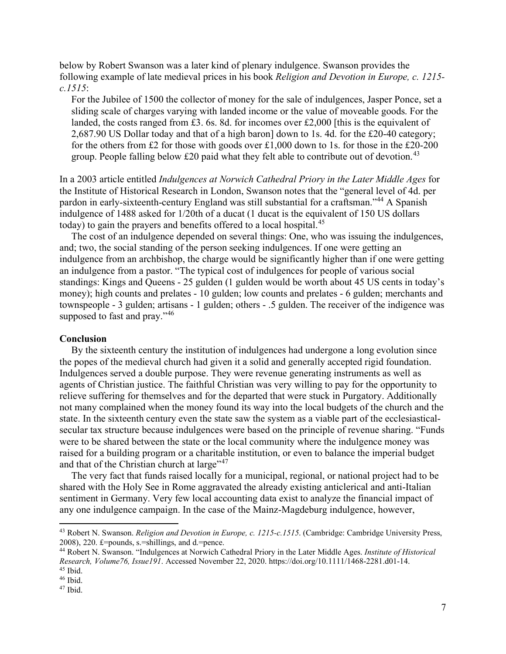below by Robert Swanson was a later kind of plenary indulgence. Swanson provides the following example of late medieval prices in his book *Religion and Devotion in Europe, c. 1215 c.1515*:

For the Jubilee of 1500 the collector of money for the sale of indulgences, Jasper Ponce, set a sliding scale of charges varying with landed income or the value of moveable goods. For the landed, the costs ranged from £3. 6s. 8d. for incomes over £2,000 [this is the equivalent of 2,687.90 US Dollar today and that of a high baron] down to 1s. 4d. for the £20-40 category; for the others from £2 for those with goods over £1,000 down to 1s. for those in the £20-200 group. People falling below £20 paid what they felt able to contribute out of devotion.<sup>[43](#page-7-0)</sup>

In a 2003 article entitled *Indulgences at Norwich Cathedral Priory in the Later Middle Ages* for the Institute of Historical Research in London, Swanson notes that the "general level of 4d. per pardon in early-sixteenth-century England was still substantial for a craftsman."[44](#page-7-1) A Spanish indulgence of 1488 asked for 1/20th of a ducat (1 ducat is the equivalent of 150 US dollars today) to gain the prayers and benefits offered to a local hospital.<sup>[45](#page-7-2)</sup>

The cost of an indulgence depended on several things: One, who was issuing the indulgences, and; two, the social standing of the person seeking indulgences. If one were getting an indulgence from an archbishop, the charge would be significantly higher than if one were getting an indulgence from a pastor. "The typical cost of indulgences for people of various social standings: Kings and Queens - 25 gulden (1 gulden would be worth about 45 US cents in today's money); high counts and prelates - 10 gulden; low counts and prelates - 6 gulden; merchants and townspeople - 3 gulden; artisans - 1 gulden; others - .5 gulden. The receiver of the indigence was supposed to fast and pray."<sup>[46](#page-7-3)</sup>

#### **Conclusion**

By the sixteenth century the institution of indulgences had undergone a long evolution since the popes of the medieval church had given it a solid and generally accepted rigid foundation. Indulgences served a double purpose. They were revenue generating instruments as well as agents of Christian justice. The faithful Christian was very willing to pay for the opportunity to relieve suffering for themselves and for the departed that were stuck in Purgatory. Additionally not many complained when the money found its way into the local budgets of the church and the state. In the sixteenth century even the state saw the system as a viable part of the ecclesiasticalsecular tax structure because indulgences were based on the principle of revenue sharing. "Funds were to be shared between the state or the local community where the indulgence money was raised for a building program or a charitable institution, or even to balance the imperial budget and that of the Christian church at large"<sup>[47](#page-7-4)</sup>

The very fact that funds raised locally for a municipal, regional, or national project had to be shared with the Holy See in Rome aggravated the already existing anticlerical and anti-Italian sentiment in Germany. Very few local accounting data exist to analyze the financial impact of any one indulgence campaign. In the case of the Mainz-Magdeburg indulgence, however,

<span id="page-7-0"></span><sup>43</sup> Robert N. Swanson. *Religion and Devotion in Europe, c. 1215-c.1515*. (Cambridge: Cambridge University Press, 2008), 220.  $\pounds$ =pounds, s.=shillings, and d.=pence.

<span id="page-7-1"></span><sup>44</sup> Robert N. Swanson. "Indulgences at Norwich Cathedral Priory in the Later Middle Ages. *Institute of Historical Research, Volume76, Issue191*. Accessed November 22, 2020. https://doi.org/10.1111/1468-2281.d01-14.  $45$  Ibid.<br> $46$  Ibid.

<span id="page-7-3"></span><span id="page-7-2"></span>

<span id="page-7-4"></span> $47$  Ibid.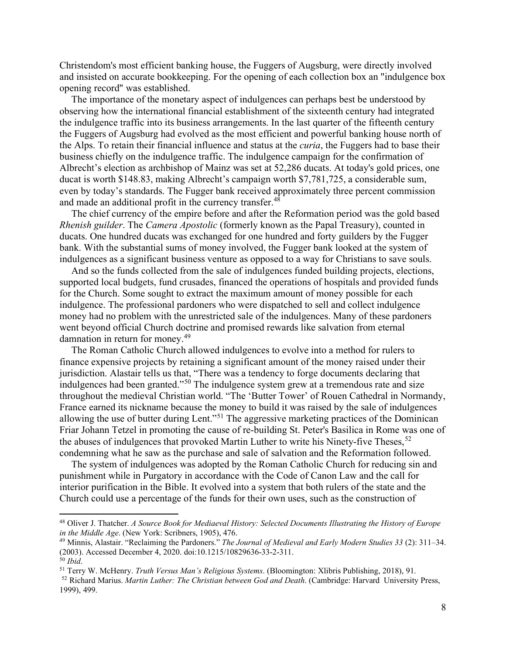Christendom's most efficient banking house, the Fuggers of Augsburg, were directly involved and insisted on accurate bookkeeping. For the opening of each collection box an "indulgence box opening record" was established.

The importance of the monetary aspect of indulgences can perhaps best be understood by observing how the international financial establishment of the sixteenth century had integrated the indulgence traffic into its business arrangements. In the last quarter of the fifteenth century the Fuggers of Augsburg had evolved as the most efficient and powerful banking house north of the Alps. To retain their financial influence and status at the *curia*, the Fuggers had to base their business chiefly on the indulgence traffic. The indulgence campaign for the confirmation of Albrecht's election as archbishop of Mainz was set at 52,286 ducats. At today's gold prices, one ducat is worth \$148.83, making Albrecht's campaign worth \$7,781,725, a considerable sum, even by today's standards. The Fugger bank received approximately three percent commission and made an additional profit in the currency transfer.<sup>[48](#page-8-0)</sup>

The chief currency of the empire before and after the Reformation period was the gold based *Rhenish guilder*. The *Camera Apostolic* (formerly known as the Papal Treasury), counted in ducats. One hundred ducats was exchanged for one hundred and forty guilders by the Fugger bank. With the substantial sums of money involved, the Fugger bank looked at the system of indulgences as a significant business venture as opposed to a way for Christians to save souls.

And so the funds collected from the sale of indulgences funded building projects, elections, supported local budgets, fund crusades, financed the operations of hospitals and provided funds for the Church. Some sought to extract the maximum amount of money possible for each indulgence. The professional pardoners who were dispatched to sell and collect indulgence money had no problem with the unrestricted sale of the indulgences. Many of these pardoners went beyond official Church doctrine and promised rewards like salvation from eternal damnation in return for money.<sup>[49](#page-8-1)</sup>

The Roman Catholic Church allowed indulgences to evolve into a method for rulers to finance expensive projects by retaining a significant amount of the money raised under their jurisdiction. Alastair tells us that, "There was a tendency to forge documents declaring that indulgences had been granted."[50](#page-8-2) The indulgence system grew at a tremendous rate and size throughout the medieval Christian world. "The 'Butter Tower' of Rouen Cathedral in Normandy, France earned its nickname because the money to build it was raised by the sale of indulgences allowing the use of butter during Lent."[51](#page-8-3) The aggressive marketing practices of the Dominican Friar Johann Tetzel in promoting the cause of re-building St. Peter's Basilica in Rome was one of the abuses of indulgences that provoked Martin Luther to write his Ninety-five Theses,  $52$ condemning what he saw as the purchase and sale of salvation and the Reformation followed.

The system of indulgences was adopted by the Roman Catholic Church for reducing sin and punishment while in Purgatory in accordance with the Code of Canon Law and the call for interior purification in the Bible. It evolved into a system that both rulers of the state and the Church could use a percentage of the funds for their own uses, such as the construction of

<span id="page-8-0"></span><sup>48</sup> Oliver J. Thatcher. *A Source Book for Mediaeval History: Selected Documents Illustrating the History of Europe in the Middle Age*. (New York: Scribners, 1905), 476.

<span id="page-8-1"></span><sup>49</sup> Minnis, Alastair. "Reclaiming the Pardoners." *The Journal of Medieval and Early Modern Studies 33* (2): 311–34. (2003). Accessed December 4, 2020. doi:10.1215/10829636-33-2-311. <sup>50</sup> *Ibid*.

<span id="page-8-3"></span><span id="page-8-2"></span><sup>51</sup> Terry W. McHenry. *Truth Versus Man's Religious Systems*. (Bloomington: Xlibris Publishing, 2018), 91.

<span id="page-8-4"></span><sup>52</sup> Richard Marius. *Martin Luther: The Christian between God and Death*. (Cambridge: Harvard University Press, 1999), 499.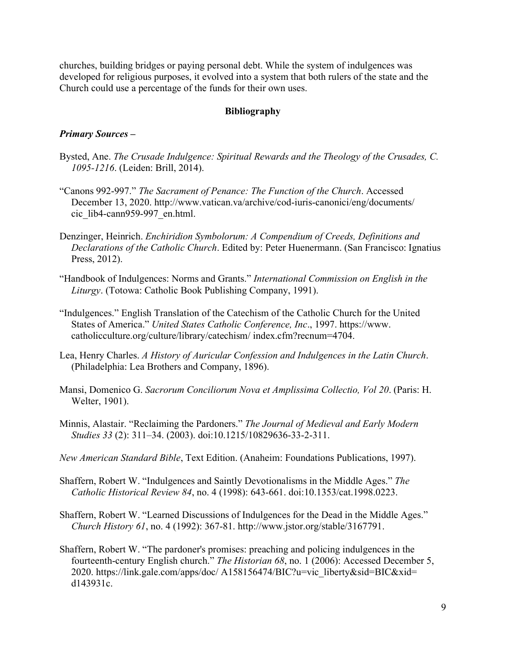churches, building bridges or paying personal debt. While the system of indulgences was developed for religious purposes, it evolved into a system that both rulers of the state and the Church could use a percentage of the funds for their own uses.

## **Bibliography**

# *Primary Sources –*

- Bysted, Ane. *The Crusade Indulgence: Spiritual Rewards and the Theology of the Crusades, C. 1095-1216*. (Leiden: Brill, 2014).
- "Canons 992-997." *The Sacrament of Penance: The Function of the Church*. Accessed December 13, 2020. http://www.vatican.va/archive/cod-iuris-canonici/eng/documents/ cic\_lib4-cann959-997\_en.html.
- Denzinger, Heinrich. *Enchiridion Symbolorum: A Compendium of Creeds, Definitions and Declarations of the Catholic Church*. Edited by: Peter Huenermann. (San Francisco: Ignatius Press, 2012).
- "Handbook of Indulgences: Norms and Grants." *International Commission on English in the Liturgy*. (Totowa: Catholic Book Publishing Company, 1991).
- "Indulgences." English Translation of the Catechism of the Catholic Church for the United States of America." *United States Catholic Conference, Inc*., 1997. https://www. catholicculture.org/culture/library/catechism/ index.cfm?recnum=4704.
- Lea, Henry Charles. *A History of Auricular Confession and Indulgences in the Latin Church*. (Philadelphia: Lea Brothers and Company, 1896).
- Mansi, Domenico G. *Sacrorum Conciliorum Nova et Amplissima Collectio, Vol 20*. (Paris: H. Welter, 1901).
- Minnis, Alastair. "Reclaiming the Pardoners." *The Journal of Medieval and Early Modern Studies 33* (2): 311–34. (2003). doi:10.1215/10829636-33-2-311.
- *New American Standard Bible*, Text Edition. (Anaheim: Foundations Publications, 1997).
- Shaffern, Robert W. "Indulgences and Saintly Devotionalisms in the Middle Ages." *The Catholic Historical Review 84*, no. 4 (1998): 643-661. doi:10.1353/cat.1998.0223.
- Shaffern, Robert W. "Learned Discussions of Indulgences for the Dead in the Middle Ages." *Church History 61*, no. 4 (1992): 367-81. http://www.jstor.org/stable/3167791.
- Shaffern, Robert W. "The pardoner's promises: preaching and policing indulgences in the fourteenth-century English church." *The Historian 68*, no. 1 (2006): Accessed December 5, 2020. https://link.gale.com/apps/doc/ A158156474/BIC?u=vic\_liberty&sid=BIC&xid= d143931c.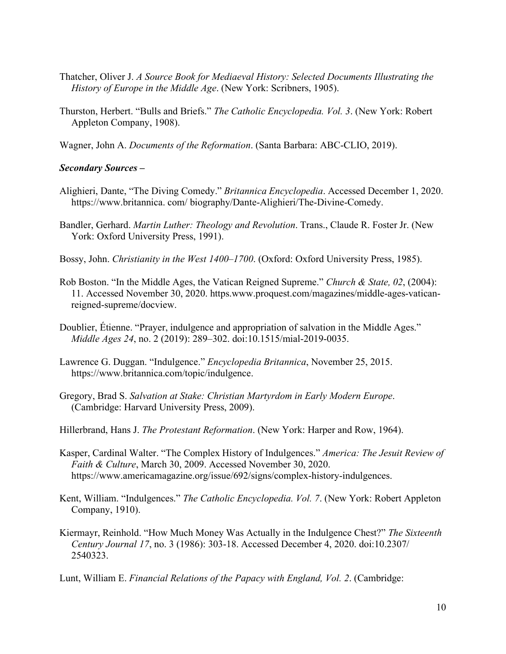- Thatcher, Oliver J. *A Source Book for Mediaeval History: Selected Documents Illustrating the History of Europe in the Middle Age*. (New York: Scribners, 1905).
- Thurston, Herbert. "Bulls and Briefs." *The Catholic Encyclopedia. Vol. 3*. (New York: Robert Appleton Company, 1908).

Wagner, John A. *Documents of the Reformation*. (Santa Barbara: ABC-CLIO, 2019).

## *Secondary Sources –*

- Alighieri, Dante, "The Diving Comedy." *Britannica Encyclopedia*. Accessed December 1, 2020. https://www.britannica. com/ biography/Dante-Alighieri/The-Divine-Comedy.
- Bandler, Gerhard. *Martin Luther: Theology and Revolution*. Trans., Claude R. Foster Jr. (New York: Oxford University Press, 1991).
- Bossy, John. *Christianity in the West 1400–1700*. (Oxford: Oxford University Press, 1985).
- Rob Boston. "In the Middle Ages, the Vatican Reigned Supreme." *Church & State, 02*, (2004): 11. Accessed November 30, 2020. https.www.proquest.com/magazines/middle-ages-vaticanreigned-supreme/docview.
- Doublier, Étienne. "Prayer, indulgence and appropriation of salvation in the Middle Ages." *Middle Ages 24*, no. 2 (2019): 289–302. doi:10.1515/mial-2019-0035.
- Lawrence G. Duggan. "Indulgence." *Encyclopedia Britannica*, November 25, 2015. https://www.britannica.com/topic/indulgence.
- Gregory, Brad S. *Salvation at Stake: Christian Martyrdom in Early Modern Europe*. (Cambridge: Harvard University Press, 2009).
- Hillerbrand, Hans J. *The Protestant Reformation*. (New York: Harper and Row, 1964).
- Kasper, Cardinal Walter. "The Complex History of Indulgences." *America: The Jesuit Review of Faith & Culture*, March 30, 2009. Accessed November 30, 2020. https://www.americamagazine.org/issue/692/signs/complex-history-indulgences.
- Kent, William. "Indulgences." *The Catholic Encyclopedia. Vol. 7*. (New York: Robert Appleton Company, 1910).
- Kiermayr, Reinhold. "How Much Money Was Actually in the Indulgence Chest?" *The Sixteenth Century Journal 17*, no. 3 (1986): 303-18. Accessed December 4, 2020. doi:10.2307/ 2540323.
- Lunt, William E. *Financial Relations of the Papacy with England, Vol. 2*. (Cambridge: